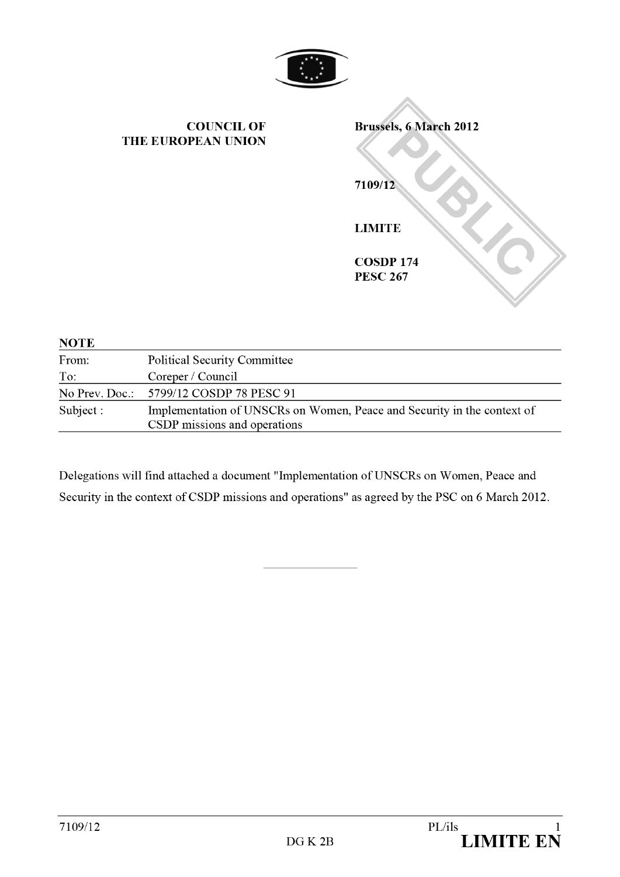

| <b>COUNCIL OF</b><br>THE EUROPEAN UNION | <b>Brussels, 6 March 2012</b><br>7109/12 |
|-----------------------------------------|------------------------------------------|
|                                         | <b>LIMITE</b><br><b>COSDP 174</b>        |
|                                         | <b>PESC 267</b>                          |
| <b>Political Security Committee</b>     |                                          |

| From:     | <b>Political Security Committee</b>                                                                     |
|-----------|---------------------------------------------------------------------------------------------------------|
| To:       | Coreper / Council                                                                                       |
|           | No Prev. Doc.: 5799/12 COSDP 78 PESC 91                                                                 |
| Subject : | Implementation of UNSCRs on Women, Peace and Security in the context of<br>CSDP missions and operations |

Delegations will find attached a document "Implementation of UNSCRs on Women, Peace and Security in the context of CSDP missions and operations"as agreed by the PSC on 6 March 2012.

**NOTE**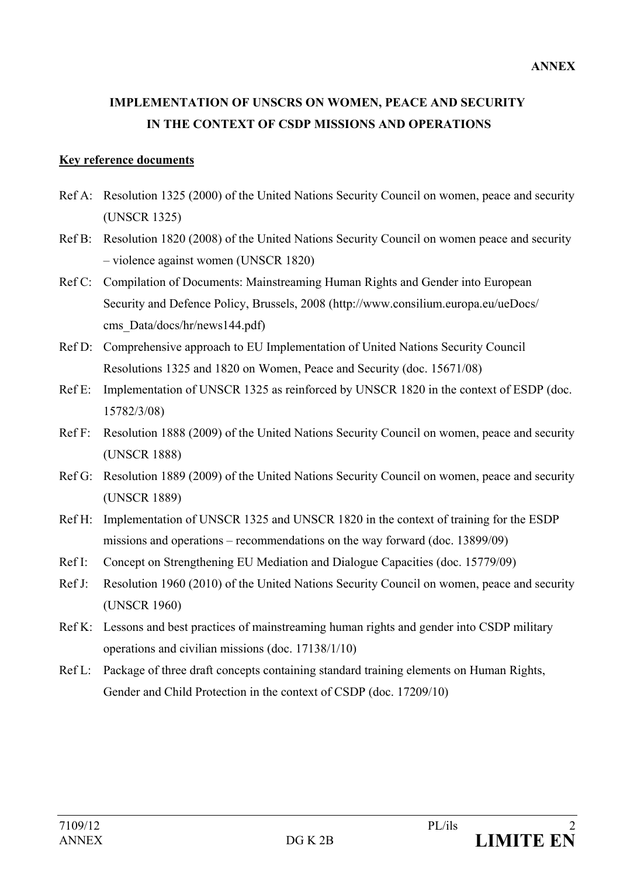# **IMPLEMENTATION OF UNSCRS ON WOMEN, PEACE AND SECURITY IN THE CONTEXT OF CSDP MISSIONS AND OPERATIONS**

#### **Key reference documents**

- Ref A: Resolution 1325 (2000) of the United Nations Security Council on women, peace and security (UNSCR 1325)
- Ref B: Resolution 1820 (2008) of the United Nations Security Council on women peace and security – violence against women (UNSCR 1820)
- Ref C: Compilation of Documents: Mainstreaming Human Rights and Gender into European Security and Defence Policy, Brussels, 2008 (http://www.consilium.europa.eu/ueDocs/ cms Data/docs/hr/news144.pdf)
- Ref D: Comprehensive approach to EU Implementation of United Nations Security Council Resolutions 1325 and 1820 on Women, Peace and Security (doc. 15671/08)
- Ref E: Implementation of UNSCR 1325 as reinforced by UNSCR 1820 in the context of ESDP (doc. 15782/3/08)
- Ref F: Resolution 1888 (2009) of the United Nations Security Council on women, peace and security (UNSCR 1888)
- Ref G: Resolution 1889 (2009) of the United Nations Security Council on women, peace and security (UNSCR 1889)
- Ref H: Implementation of UNSCR 1325 and UNSCR 1820 in the context of training for the ESDP missions and operations – recommendations on the way forward (doc. 13899/09)
- Ref I: Concept on Strengthening EU Mediation and Dialogue Capacities (doc. 15779/09)
- Ref J: Resolution 1960 (2010) of the United Nations Security Council on women, peace and security (UNSCR 1960)
- Ref K: Lessons and best practices of mainstreaming human rights and gender into CSDP military operations and civilian missions (doc. 17138/1/10)
- Ref L: Package of three draft concepts containing standard training elements on Human Rights, Gender and Child Protection in the context of CSDP (doc. 17209/10)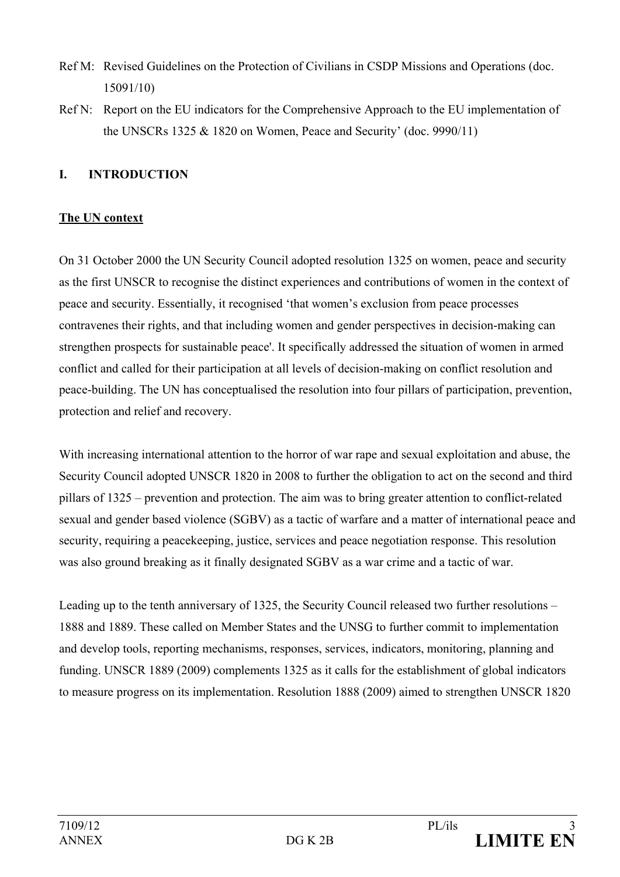- Ref M: Revised Guidelines on the Protection of Civilians in CSDP Missions and Operations (doc. 15091/10)
- Ref N: Report on the EU indicators for the Comprehensive Approach to the EU implementation of the UNSCRs 1325  $& 1820$  on Women, Peace and Security' (doc. 9990/11)

# **I. INTRODUCTION**

## **The UN context**

On 31 October 2000 the UN Security Council adopted resolution 1325 on women, peace and security as the first UNSCR to recognise the distinct experiences and contributions of women in the context of peace and security. Essentially, it recognised 'that women's exclusion from peace processes contravenes their rights, and that including women and gender perspectives in decision-making can strengthen prospects for sustainable peace'. It specifically addressed the situation of women in armed conflict and called for their participation at all levels of decision-making on conflict resolution and peace-building. The UN has conceptualised the resolution into four pillars of participation, prevention, protection and relief and recovery.

With increasing international attention to the horror of war rape and sexual exploitation and abuse, the Security Council adopted UNSCR 1820 in 2008 to further the obligation to act on the second and third pillars of 1325 – prevention and protection. The aim was to bring greater attention to conflict-related sexual and gender based violence (SGBV) as a tactic of warfare and a matter of international peace and security, requiring a peacekeeping, justice, services and peace negotiation response. This resolution was also ground breaking as it finally designated SGBV as a war crime and a tactic of war.

Leading up to the tenth anniversary of 1325, the Security Council released two further resolutions – 1888 and 1889. These called on Member States and the UNSG to further commit to implementation and develop tools, reporting mechanisms, responses, services, indicators, monitoring, planning and funding. UNSCR 1889 (2009) complements 1325 as it calls for the establishment of global indicators to measure progress on its implementation. Resolution 1888 (2009) aimed to strengthen UNSCR 1820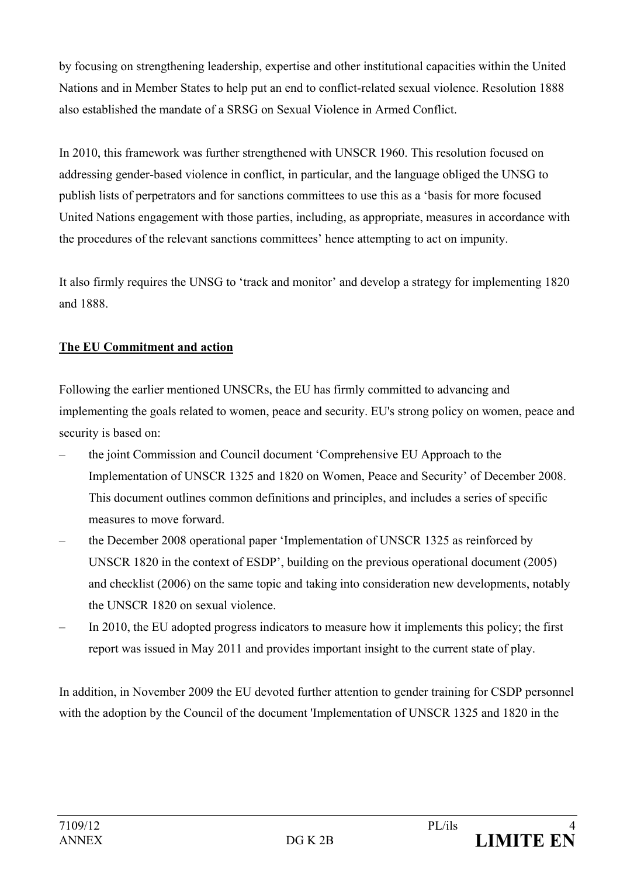by focusing on strengthening leadership, expertise and other institutional capacities within the United Nations and in Member States to help put an end to conflict-related sexual violence. Resolution 1888 also established the mandate of a SRSG on Sexual Violence in Armed Conflict.

In 2010, this framework was further strengthened with UNSCR 1960. This resolution focused on addressing gender-based violence in conflict, in particular, and the language obliged the UNSG to publish lists of perpetrators and for sanctions committees to use this as a 'basis for more focused United Nations engagement with those parties, including, as appropriate, measures in accordance with the procedures of the relevant sanctions committees' hence attempting to act on impunity.

It also firmly requires the UNSG to 'track and monitor' and develop a strategy for implementing 1820 and 1888.

# **The EU Commitment and action**

Following the earlier mentioned UNSCRs, the EU has firmly committed to advancing and implementing the goals related to women, peace and security. EU's strong policy on women, peace and security is based on:

- the joint Commission and Council document ['Comprehensive EU Approach to the](http://register.consilium.europa.eu/pdf/en/08/st15/st15671-re01.en08.pdf)  [Implementation of UNSCR 1325 and 1820 on Women, Peace and Security'](http://register.consilium.europa.eu/pdf/en/08/st15/st15671-re01.en08.pdf) of December 2008. This document outlines common definitions and principles, and includes a series of specific measures to move forward.
- the December 2008 operational paper ['Implementation of UNSCR 1325 as reinforced by](http://register.consilium.europa.eu/pdf/en/08/st15/st15782-re03.en08.pdf)  [UNSCR 1820 in the context of ESDP',](http://register.consilium.europa.eu/pdf/en/08/st15/st15782-re03.en08.pdf) building on the previous operational document (2005) and checklist (2006) on the same topic and taking into consideration new developments, notably the UNSCR 1820 on sexual violence.
- In 2010, the EU adopted progress indicators to measure how it implements this policy; the first report was issued in May 2011 and provides important insight to the current state of play.

In addition, in November 2009 the EU devoted further attention to gender training for CSDP personnel with the adoption by the Council of the document 'Implementation of UNSCR 1325 and 1820 in the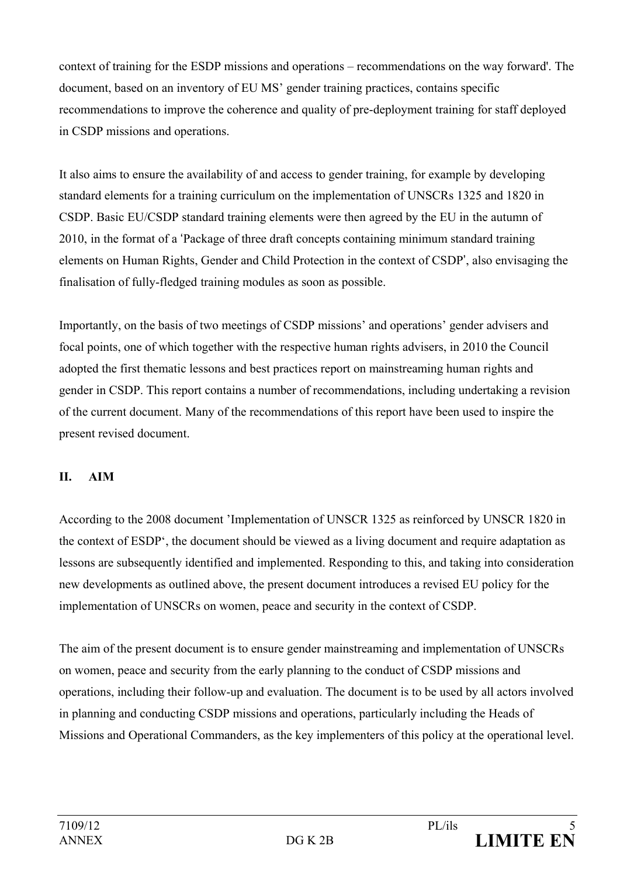context of training for the ESDP missions and operations – recommendations on the way forward'. The document, based on an inventory of EU MS' gender training practices, contains specific recommendations to improve the coherence and quality of pre-deployment training for staff deployed in CSDP missions and operations.

It also aims to ensure the availability of and access to gender training, for example by developing standard elements for a training curriculum on the implementation of UNSCRs 1325 and 1820 in CSDP. Basic EU/CSDP standard training elements were then agreed by the EU in the autumn of 2010, in the format of a 'Package of three draft concepts containing minimum standard training elements on Human Rights, Gender and Child Protection in the context of CSDP', also envisaging the finalisation of fully-fledged training modules as soon as possible.

Importantly, on the basis of two meetings of CSDP missions' and operations' gender advisers and focal points, one of which together with the respective human rights advisers, in 2010 the Council adopted the first thematic lessons and best practices report on mainstreaming human rights and gender in CSDP. This report contains a number of recommendations, including undertaking a revision of the current document. Many of the recommendations of this report have been used to inspire the present revised document.

# **II. AIM**

According to the 2008 document 'Implementation of UNSCR 1325 as reinforced by UNSCR 1820 in the context of ESDP', the document should be viewed as a living document and require adaptation as lessons are subsequently identified and implemented. Responding to this, and taking into consideration new developments as outlined above, the present document introduces a revised EU policy for the implementation of UNSCRs on women, peace and security in the context of CSDP.

The aim of the present document is to ensure gender mainstreaming and implementation of UNSCRs on women, peace and security from the early planning to the conduct of CSDP missions and operations, including their follow-up and evaluation. The document is to be used by all actors involved in planning and conducting CSDP missions and operations, particularly including the Heads of Missions and Operational Commanders, as the key implementers of this policy at the operational level.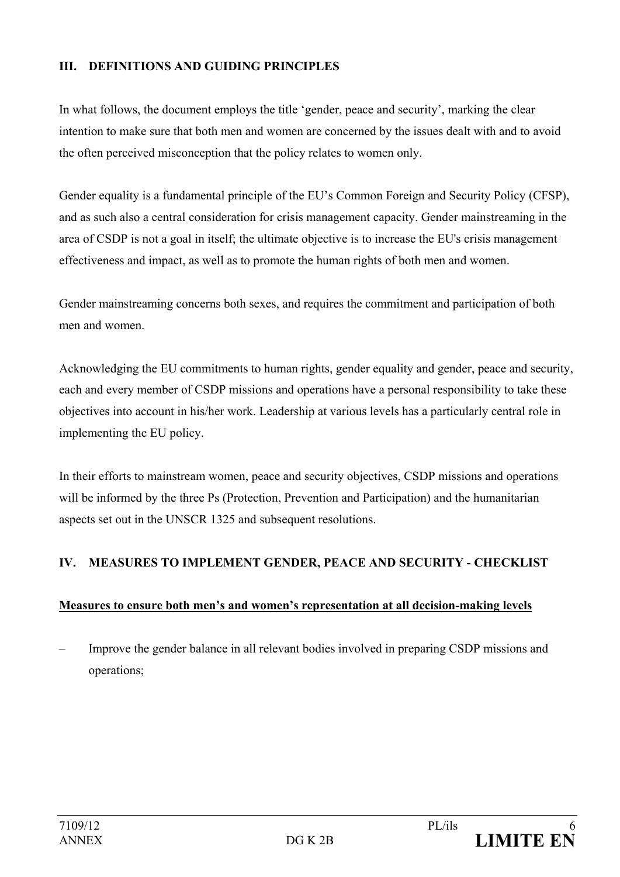## **III. DEFINITIONS AND GUIDING PRINCIPLES**

In what follows, the document employs the title 'gender, peace and security', marking the clear intention to make sure that both men and women are concerned by the issues dealt with and to avoid the often perceived misconception that the policy relates to women only.

Gender equality is a fundamental principle of the EU's Common Foreign and Security Policy (CFSP), and as such also a central consideration for crisis management capacity. Gender mainstreaming in the area of CSDP is not a goal in itself; the ultimate objective is to increase the EU's crisis management effectiveness and impact, as well as to promote the human rights of both men and women.

Gender mainstreaming concerns both sexes, and requires the commitment and participation of both men and women.

Acknowledging the EU commitments to human rights, gender equality and gender, peace and security, each and every member of CSDP missions and operations have a personal responsibility to take these objectives into account in his/her work. Leadership at various levels has a particularly central role in implementing the EU policy.

In their efforts to mainstream women, peace and security objectives, CSDP missions and operations will be informed by the three Ps (Protection, Prevention and Participation) and the humanitarian aspects set out in the UNSCR 1325 and subsequent resolutions.

# **IV. MEASURES TO IMPLEMENT GENDER, PEACE AND SECURITY - CHECKLIST**

# **Measures to ensure both men's and women's representation at all decision-making levels**

– Improve the gender balance in all relevant bodies involved in preparing CSDP missions and operations;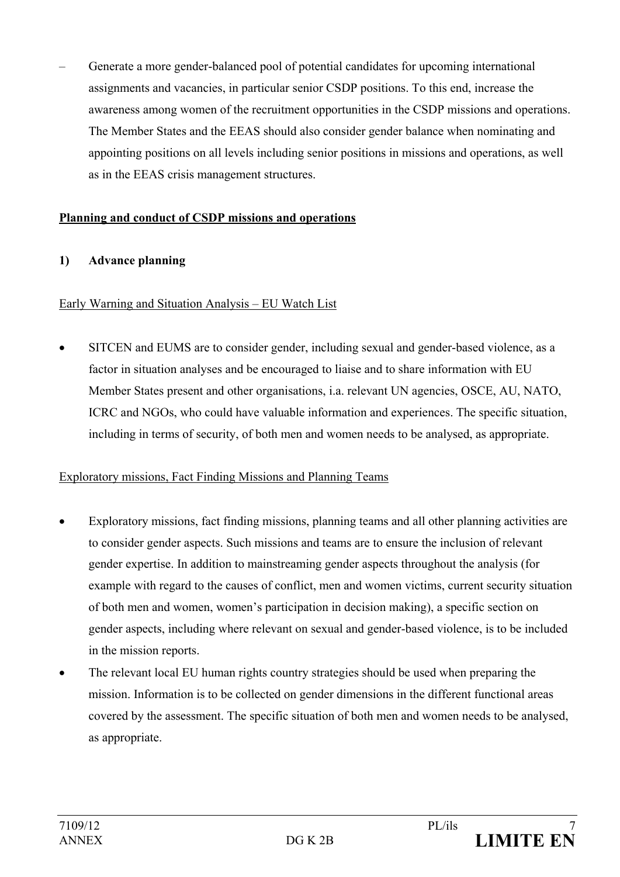– Generate a more gender-balanced pool of potential candidates for upcoming international assignments and vacancies, in particular senior CSDP positions. To this end, increase the awareness among women of the recruitment opportunities in the CSDP missions and operations. The Member States and the EEAS should also consider gender balance when nominating and appointing positions on all levels including senior positions in missions and operations, as well as in the EEAS crisis management structures.

#### **Planning and conduct of CSDP missions and operations**

## **1) Advance planning**

#### Early Warning and Situation Analysis – EU Watch List

• SITCEN and EUMS are to consider gender, including sexual and gender-based violence, as a factor in situation analyses and be encouraged to liaise and to share information with EU Member States present and other organisations, i.a. relevant UN agencies, OSCE, AU, NATO, ICRC and NGOs, who could have valuable information and experiences. The specific situation, including in terms of security, of both men and women needs to be analysed, as appropriate.

## Exploratory missions, Fact Finding Missions and Planning Teams

- Exploratory missions, fact finding missions, planning teams and all other planning activities are to consider gender aspects. Such missions and teams are to ensure the inclusion of relevant gender expertise. In addition to mainstreaming gender aspects throughout the analysis (for example with regard to the causes of conflict, men and women victims, current security situation of both men and women, women's participation in decision making), a specific section on gender aspects, including where relevant on sexual and gender-based violence, is to be included in the mission reports.
- The relevant local EU human rights country strategies should be used when preparing the mission. Information is to be collected on gender dimensions in the different functional areas covered by the assessment. The specific situation of both men and women needs to be analysed, as appropriate.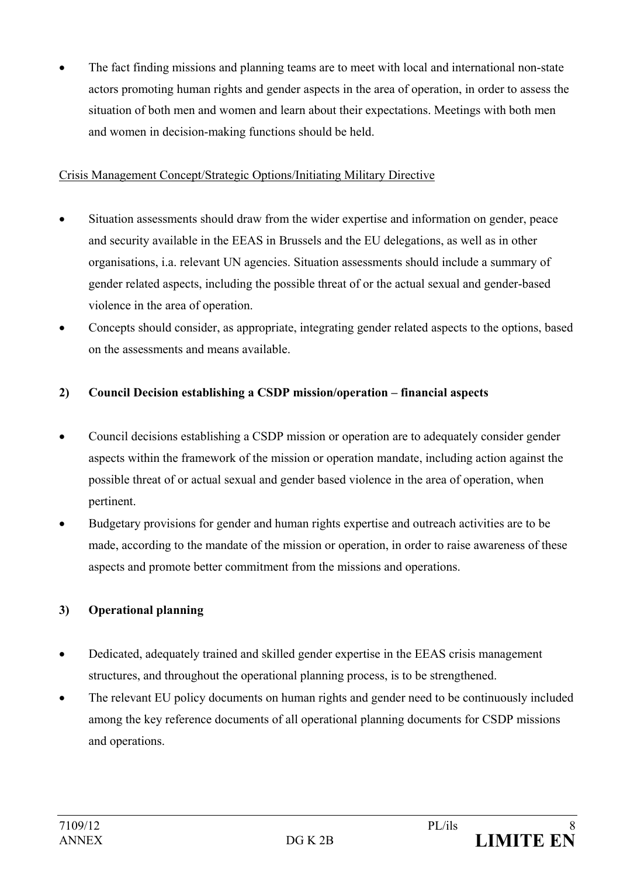• The fact finding missions and planning teams are to meet with local and international non-state actors promoting human rights and gender aspects in the area of operation, in order to assess the situation of both men and women and learn about their expectations. Meetings with both men and women in decision-making functions should be held.

## Crisis Management Concept/Strategic Options/Initiating Military Directive

- Situation assessments should draw from the wider expertise and information on gender, peace and security available in the EEAS in Brussels and the EU delegations, as well as in other organisations, i.a. relevant UN agencies. Situation assessments should include a summary of gender related aspects, including the possible threat of or the actual sexual and gender-based violence in the area of operation.
- Concepts should consider, as appropriate, integrating gender related aspects to the options, based on the assessments and means available.

## **2) Council Decision establishing a CSDP mission/operation – financial aspects**

- Council decisions establishing a CSDP mission or operation are to adequately consider gender aspects within the framework of the mission or operation mandate, including action against the possible threat of or actual sexual and gender based violence in the area of operation, when pertinent.
- Budgetary provisions for gender and human rights expertise and outreach activities are to be made, according to the mandate of the mission or operation, in order to raise awareness of these aspects and promote better commitment from the missions and operations.

# **3) Operational planning**

- Dedicated, adequately trained and skilled gender expertise in the EEAS crisis management structures, and throughout the operational planning process, is to be strengthened.
- The relevant EU policy documents on human rights and gender need to be continuously included among the key reference documents of all operational planning documents for CSDP missions and operations.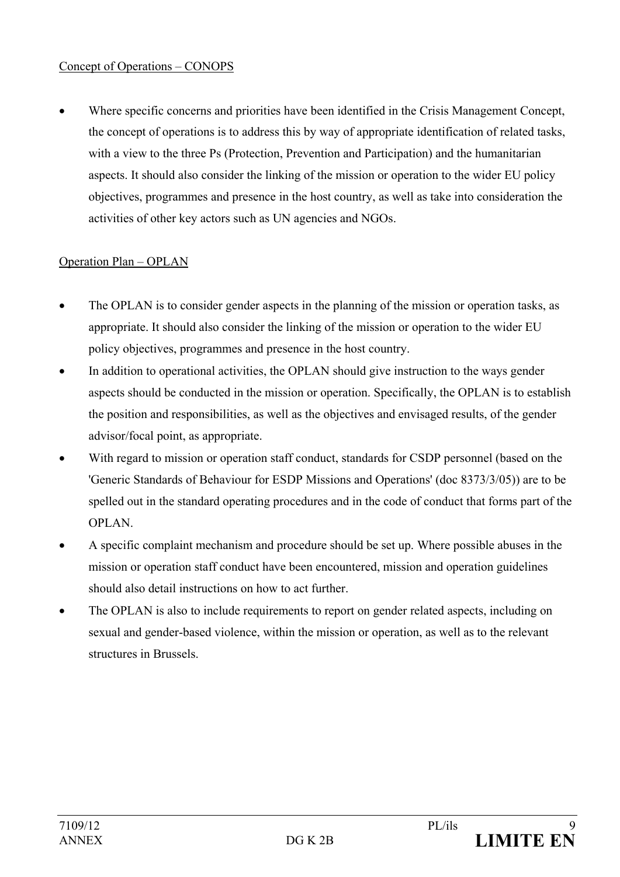## Concept of Operations – CONOPS

Where specific concerns and priorities have been identified in the Crisis Management Concept, the concept of operations is to address this by way of appropriate identification of related tasks, with a view to the three Ps (Protection, Prevention and Participation) and the humanitarian aspects. It should also consider the linking of the mission or operation to the wider EU policy objectives, programmes and presence in the host country, as well as take into consideration the activities of other key actors such as UN agencies and NGOs.

## Operation Plan – OPLAN

- The OPLAN is to consider gender aspects in the planning of the mission or operation tasks, as appropriate. It should also consider the linking of the mission or operation to the wider EU policy objectives, programmes and presence in the host country.
- In addition to operational activities, the OPLAN should give instruction to the ways gender aspects should be conducted in the mission or operation. Specifically, the OPLAN is to establish the position and responsibilities, as well as the objectives and envisaged results, of the gender advisor/focal point, as appropriate.
- With regard to mission or operation staff conduct, standards for CSDP personnel (based on the 'Generic Standards of Behaviour for ESDP Missions and Operations' (doc 8373/3/05)) are to be spelled out in the standard operating procedures and in the code of conduct that forms part of the OPLAN.
- A specific complaint mechanism and procedure should be set up. Where possible abuses in the mission or operation staff conduct have been encountered, mission and operation guidelines should also detail instructions on how to act further.
- The OPLAN is also to include requirements to report on gender related aspects, including on sexual and gender-based violence, within the mission or operation, as well as to the relevant structures in Brussels.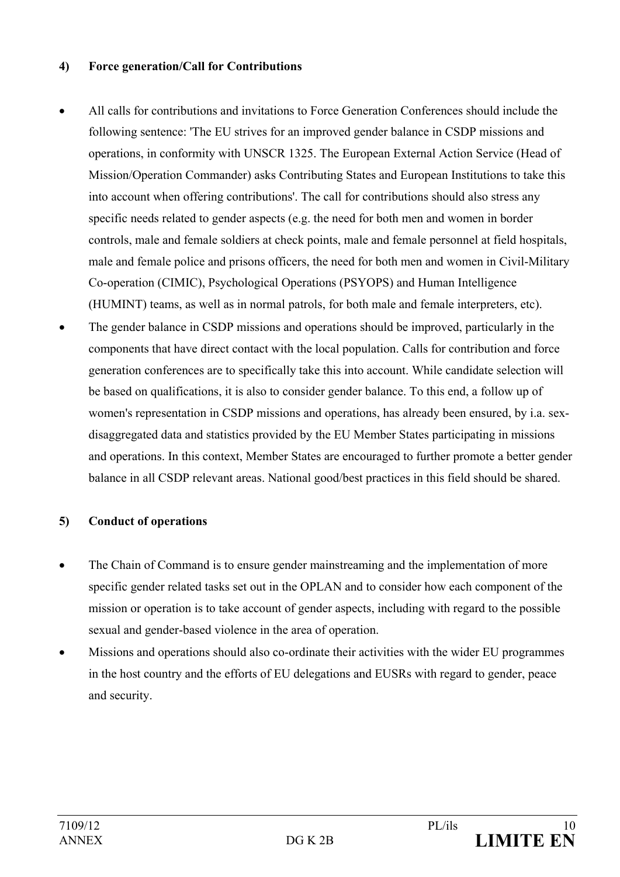#### **4) Force generation/Call for Contributions**

- All calls for contributions and invitations to Force Generation Conferences should include the following sentence: 'The EU strives for an improved gender balance in CSDP missions and operations, in conformity with UNSCR 1325. The European External Action Service (Head of Mission/Operation Commander) asks Contributing States and European Institutions to take this into account when offering contributions'. The call for contributions should also stress any specific needs related to gender aspects (e.g. the need for both men and women in border controls, male and female soldiers at check points, male and female personnel at field hospitals, male and female police and prisons officers, the need for both men and women in Civil-Military Co-operation (CIMIC), Psychological Operations (PSYOPS) and Human Intelligence (HUMINT) teams, as well as in normal patrols, for both male and female interpreters, etc).
- The gender balance in CSDP missions and operations should be improved, particularly in the components that have direct contact with the local population. Calls for contribution and force generation conferences are to specifically take this into account. While candidate selection will be based on qualifications, it is also to consider gender balance. To this end, a follow up of women's representation in CSDP missions and operations, has already been ensured, by i.a. sexdisaggregated data and statistics provided by the EU Member States participating in missions and operations. In this context, Member States are encouraged to further promote a better gender balance in all CSDP relevant areas. National good/best practices in this field should be shared.

## **5) Conduct of operations**

- The Chain of Command is to ensure gender mainstreaming and the implementation of more specific gender related tasks set out in the OPLAN and to consider how each component of the mission or operation is to take account of gender aspects, including with regard to the possible sexual and gender-based violence in the area of operation.
- Missions and operations should also co-ordinate their activities with the wider EU programmes in the host country and the efforts of EU delegations and EUSRs with regard to gender, peace and security.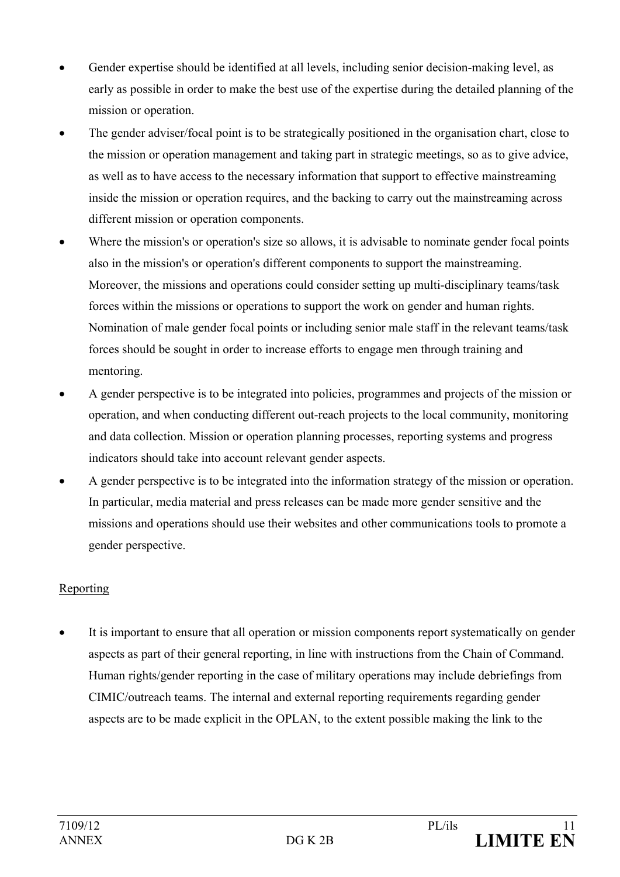- Gender expertise should be identified at all levels, including senior decision-making level, as early as possible in order to make the best use of the expertise during the detailed planning of the mission or operation.
- The gender adviser/focal point is to be strategically positioned in the organisation chart, close to the mission or operation management and taking part in strategic meetings, so as to give advice, as well as to have access to the necessary information that support to effective mainstreaming inside the mission or operation requires, and the backing to carry out the mainstreaming across different mission or operation components.
- Where the mission's or operation's size so allows, it is advisable to nominate gender focal points also in the mission's or operation's different components to support the mainstreaming. Moreover, the missions and operations could consider setting up multi-disciplinary teams/task forces within the missions or operations to support the work on gender and human rights. Nomination of male gender focal points or including senior male staff in the relevant teams/task forces should be sought in order to increase efforts to engage men through training and mentoring.
- A gender perspective is to be integrated into policies, programmes and projects of the mission or operation, and when conducting different out-reach projects to the local community, monitoring and data collection. Mission or operation planning processes, reporting systems and progress indicators should take into account relevant gender aspects.
- A gender perspective is to be integrated into the information strategy of the mission or operation. In particular, media material and press releases can be made more gender sensitive and the missions and operations should use their websites and other communications tools to promote a gender perspective.

# Reporting

It is important to ensure that all operation or mission components report systematically on gender aspects as part of their general reporting, in line with instructions from the Chain of Command. Human rights/gender reporting in the case of military operations may include debriefings from CIMIC/outreach teams. The internal and external reporting requirements regarding gender aspects are to be made explicit in the OPLAN, to the extent possible making the link to the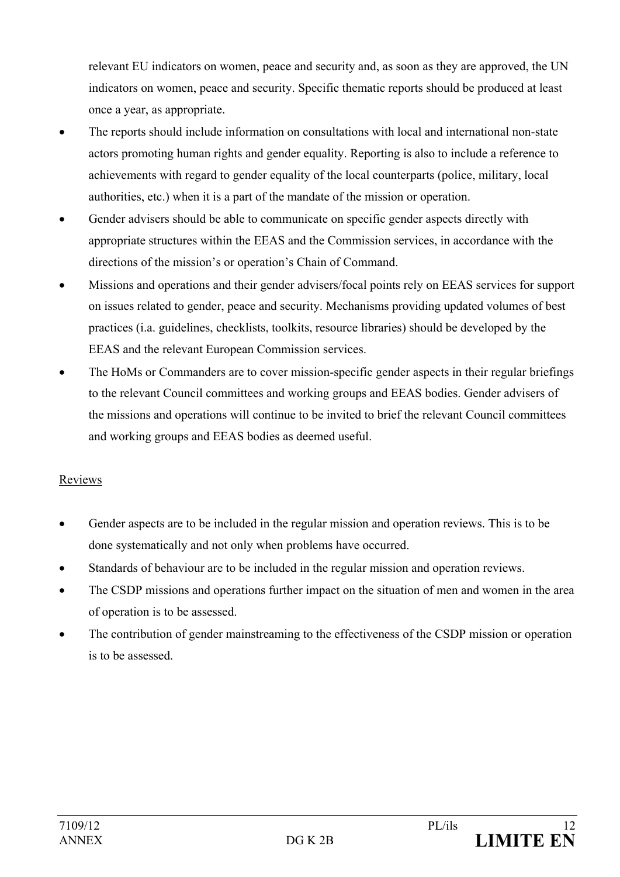relevant EU indicators on women, peace and security and, as soon as they are approved, the UN indicators on women, peace and security. Specific thematic reports should be produced at least once a year, as appropriate.

- The reports should include information on consultations with local and international non-state actors promoting human rights and gender equality. Reporting is also to include a reference to achievements with regard to gender equality of the local counterparts (police, military, local authorities, etc.) when it is a part of the mandate of the mission or operation.
- Gender advisers should be able to communicate on specific gender aspects directly with appropriate structures within the EEAS and the Commission services, in accordance with the directions of the mission's or operation's Chain of Command.
- Missions and operations and their gender advisers/focal points rely on EEAS services for support on issues related to gender, peace and security. Mechanisms providing updated volumes of best practices (i.a. guidelines, checklists, toolkits, resource libraries) should be developed by the EEAS and the relevant European Commission services.
- The HoMs or Commanders are to cover mission-specific gender aspects in their regular briefings to the relevant Council committees and working groups and EEAS bodies. Gender advisers of the missions and operations will continue to be invited to brief the relevant Council committees and working groups and EEAS bodies as deemed useful.

## Reviews

- Gender aspects are to be included in the regular mission and operation reviews. This is to be done systematically and not only when problems have occurred.
- Standards of behaviour are to be included in the regular mission and operation reviews.
- The CSDP missions and operations further impact on the situation of men and women in the area of operation is to be assessed.
- The contribution of gender mainstreaming to the effectiveness of the CSDP mission or operation is to be assessed.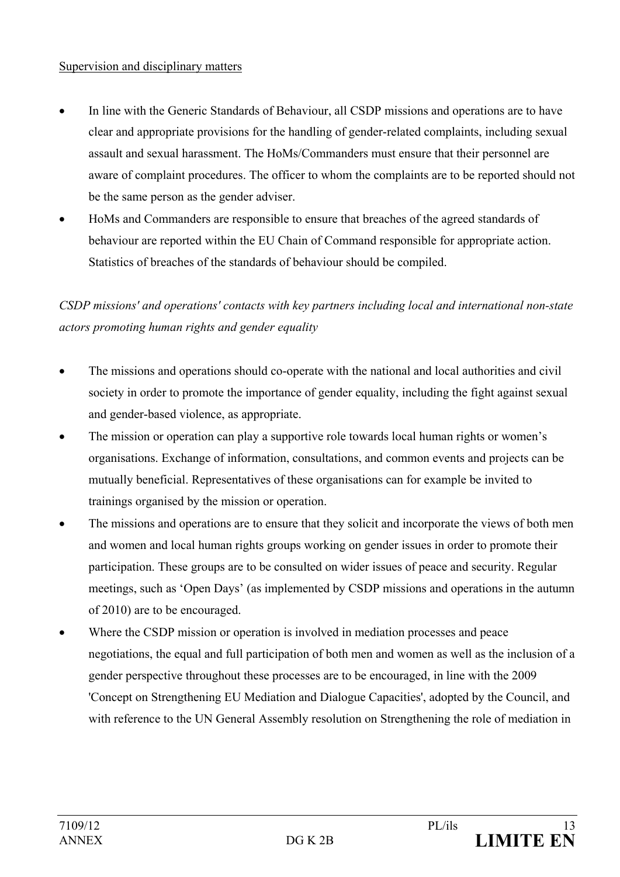#### Supervision and disciplinary matters

- In line with the Generic Standards of Behaviour, all CSDP missions and operations are to have clear and appropriate provisions for the handling of gender-related complaints, including sexual assault and sexual harassment. The HoMs/Commanders must ensure that their personnel are aware of complaint procedures. The officer to whom the complaints are to be reported should not be the same person as the gender adviser.
- HoMs and Commanders are responsible to ensure that breaches of the agreed standards of behaviour are reported within the EU Chain of Command responsible for appropriate action. Statistics of breaches of the standards of behaviour should be compiled.

# *CSDP missions' and operations' contacts with key partners including local and international non-state actors promoting human rights and gender equality*

- The missions and operations should co-operate with the national and local authorities and civil society in order to promote the importance of gender equality, including the fight against sexual and gender-based violence, as appropriate.
- The mission or operation can play a supportive role towards local human rights or women's organisations. Exchange of information, consultations, and common events and projects can be mutually beneficial. Representatives of these organisations can for example be invited to trainings organised by the mission or operation.
- The missions and operations are to ensure that they solicit and incorporate the views of both men and women and local human rights groups working on gender issues in order to promote their participation. These groups are to be consulted on wider issues of peace and security. Regular meetings, such as 'Open Days' (as implemented by CSDP missions and operations in the autumn of 2010) are to be encouraged.
- Where the CSDP mission or operation is involved in mediation processes and peace negotiations, the equal and full participation of both men and women as well as the inclusion of a gender perspective throughout these processes are to be encouraged, in line with the 2009 'Concept on Strengthening EU Mediation and Dialogue Capacities', adopted by the Council, and with reference to the UN General Assembly resolution on Strengthening the role of mediation in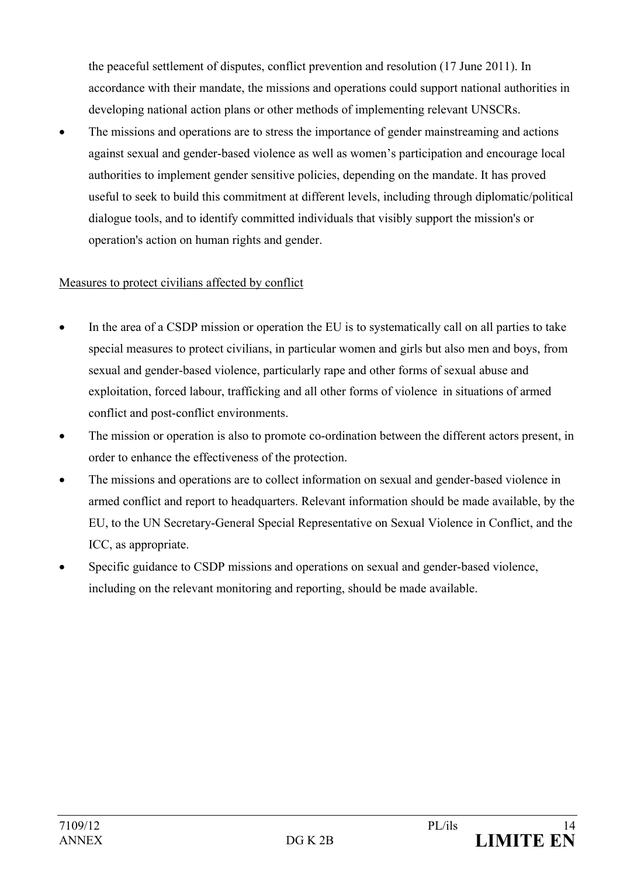the peaceful settlement of disputes, conflict prevention and resolution (17 June 2011). In accordance with their mandate, the missions and operations could support national authorities in developing national action plans or other methods of implementing relevant UNSCRs.

The missions and operations are to stress the importance of gender mainstreaming and actions against sexual and gender-based violence as well as women's participation and encourage local authorities to implement gender sensitive policies, depending on the mandate. It has proved useful to seek to build this commitment at different levels, including through diplomatic/political dialogue tools, and to identify committed individuals that visibly support the mission's or operation's action on human rights and gender.

## Measures to protect civilians affected by conflict

- In the area of a CSDP mission or operation the EU is to systematically call on all parties to take special measures to protect civilians, in particular women and girls but also men and boys, from sexual and gender-based violence, particularly rape and other forms of sexual abuse and exploitation, forced labour, trafficking and all other forms of violence in situations of armed conflict and post-conflict environments.
- The mission or operation is also to promote co-ordination between the different actors present, in order to enhance the effectiveness of the protection.
- The missions and operations are to collect information on sexual and gender-based violence in armed conflict and report to headquarters. Relevant information should be made available, by the EU, to the UN Secretary-General Special Representative on Sexual Violence in Conflict, and the ICC, as appropriate.
- Specific guidance to CSDP missions and operations on sexual and gender-based violence, including on the relevant monitoring and reporting, should be made available.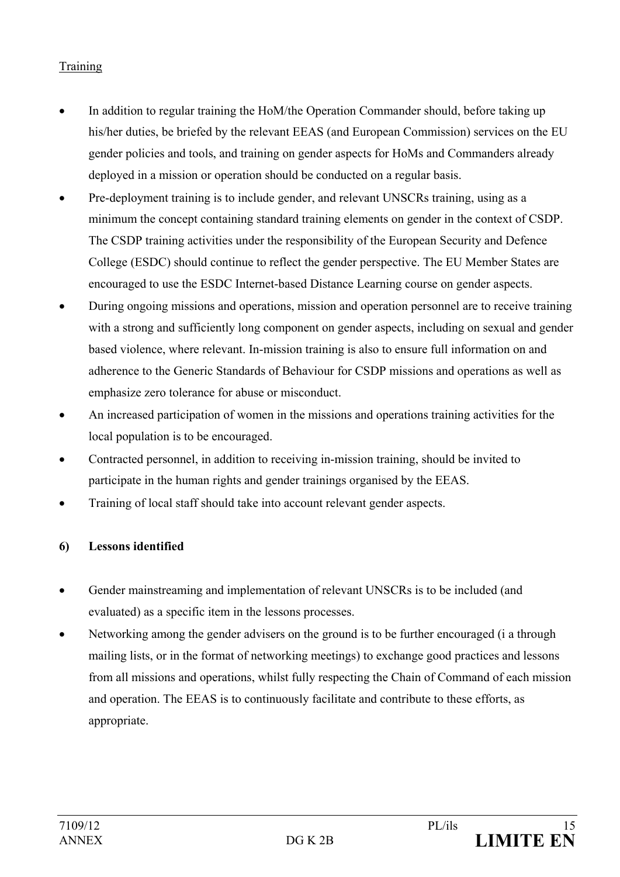# Training

- In addition to regular training the HoM/the Operation Commander should, before taking up his/her duties, be briefed by the relevant EEAS (and European Commission) services on the EU gender policies and tools, and training on gender aspects for HoMs and Commanders already deployed in a mission or operation should be conducted on a regular basis.
- Pre-deployment training is to include gender, and relevant UNSCRs training, using as a minimum the concept containing standard training elements on gender in the context of CSDP. The CSDP training activities under the responsibility of the European Security and Defence College (ESDC) should continue to reflect the gender perspective. The EU Member States are encouraged to use the ESDC Internet-based Distance Learning course on gender aspects.
- During ongoing missions and operations, mission and operation personnel are to receive training with a strong and sufficiently long component on gender aspects, including on sexual and gender based violence, where relevant. In-mission training is also to ensure full information on and adherence to the Generic Standards of Behaviour for CSDP missions and operations as well as emphasize zero tolerance for abuse or misconduct.
- An increased participation of women in the missions and operations training activities for the local population is to be encouraged.
- Contracted personnel, in addition to receiving in-mission training, should be invited to participate in the human rights and gender trainings organised by the EEAS.
- Training of local staff should take into account relevant gender aspects.

## **6) Lessons identified**

- Gender mainstreaming and implementation of relevant UNSCRs is to be included (and evaluated) as a specific item in the lessons processes.
- Networking among the gender advisers on the ground is to be further encouraged (i a through mailing lists, or in the format of networking meetings) to exchange good practices and lessons from all missions and operations, whilst fully respecting the Chain of Command of each mission and operation. The EEAS is to continuously facilitate and contribute to these efforts, as appropriate.